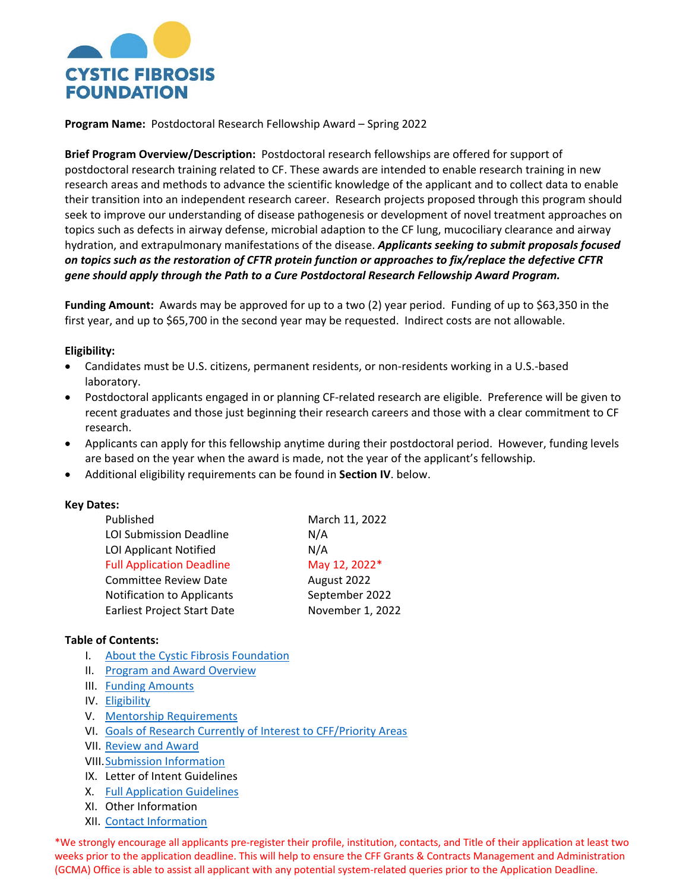

**Program Name:** Postdoctoral Research Fellowship Award – Spring 2022

**Brief Program Overview/Description:** Postdoctoral research fellowships are offered for support of postdoctoral research training related to CF. These awards are intended to enable research training in new research areas and methods to advance the scientific knowledge of the applicant and to collect data to enable their transition into an independent research career. Research projects proposed through this program should seek to improve our understanding of disease pathogenesis or development of novel treatment approaches on topics such as defects in airway defense, microbial adaption to the CF lung, mucociliary clearance and airway hydration, and extrapulmonary manifestations of the disease. *Applicants seeking to submit proposals focused on topics such as the restoration of CFTR protein function or approaches to fix/replace the defective CFTR gene should apply through the Path to a Cure Postdoctoral Research Fellowship Award Program.*

**Funding Amount:** Awards may be approved for up to a two (2) year period. Funding of up to \$63,350 in the first year, and up to \$65,700 in the second year may be requested. Indirect costs are not allowable.

### **Eligibility:**

- Candidates must be U.S. citizens, permanent residents, or non-residents working in a U.S.-based laboratory.
- Postdoctoral applicants engaged in or planning CF-related research are eligible. Preference will be given to recent graduates and those just beginning their research careers and those with a clear commitment to CF research.
- Applicants can apply for this fellowship anytime during their postdoctoral period. However, funding levels are based on the year when the award is made, not the year of the applicant's fellowship.
- Additional eligibility requirements can be found in **Section IV**. below.

#### **Key Dates:**

| Published                          | March 11, 2022   |
|------------------------------------|------------------|
| <b>LOI Submission Deadline</b>     | N/A              |
| <b>LOI Applicant Notified</b>      | N/A              |
| <b>Full Application Deadline</b>   | May 12, 2022*    |
| <b>Committee Review Date</b>       | August 2022      |
| <b>Notification to Applicants</b>  | September 2022   |
| <b>Earliest Project Start Date</b> | November 1, 2022 |

### **Table of Contents:**

- I. [About the Cystic Fibrosis Foundation](#page-1-0)
- II. Program and Award Overview
- III. [Funding Amounts](#page-1-1)
- IV. [Eligibility](#page-1-2)
- V. [Mentorship Requirements](#page-2-0)
- VI. [Goals of Research Currently of Interest to CFF/Priority Areas](#page-2-1)
- VII. [Review and Award](#page-3-0)
- VIII[.Submission Information](#page-4-0)
- IX. Letter of Intent Guidelines
- X. [Full Application Guidelines](#page-4-1)
- XI. Other Information
- XII. [Contact Information](#page-11-0)

\*We strongly encourage all applicants pre-register their profile, institution, contacts, and Title of their application at least two weeks prior to the application deadline. This will help to ensure the CFF Grants & Contracts Management and Administration (GCMA) Office is able to assist all applicant with any potential system-related queries prior to the Application Deadline.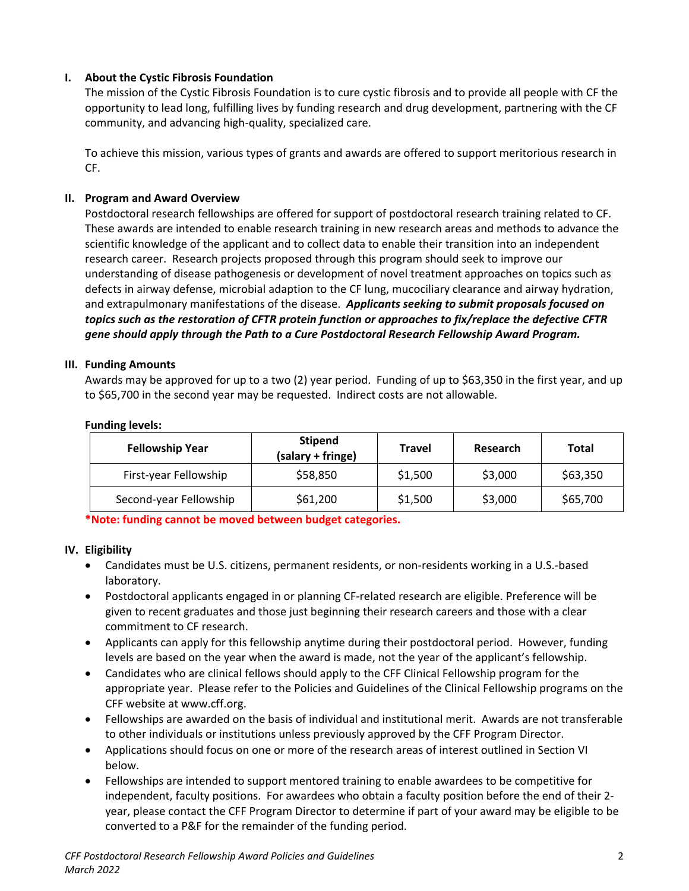# <span id="page-1-0"></span>**I. About the Cystic Fibrosis Foundation**

The mission of the Cystic Fibrosis Foundation is to cure cystic fibrosis and to provide all people with CF the opportunity to lead long, fulfilling lives by funding research and drug development, partnering with the CF community, and advancing high-quality, specialized care.

To achieve this mission, various types of grants and awards are offered to support meritorious research in CF.

## **II. Program and Award Overview**

Postdoctoral research fellowships are offered for support of postdoctoral research training related to CF. These awards are intended to enable research training in new research areas and methods to advance the scientific knowledge of the applicant and to collect data to enable their transition into an independent research career. Research projects proposed through this program should seek to improve our understanding of disease pathogenesis or development of novel treatment approaches on topics such as defects in airway defense, microbial adaption to the CF lung, mucociliary clearance and airway hydration, and extrapulmonary manifestations of the disease. *Applicants seeking to submit proposals focused on topics such as the restoration of CFTR protein function or approaches to fix/replace the defective CFTR gene should apply through the Path to a Cure Postdoctoral Research Fellowship Award Program.*

### <span id="page-1-1"></span>**III. Funding Amounts**

Awards may be approved for up to a two (2) year period. Funding of up to \$63,350 in the first year, and up to \$65,700 in the second year may be requested. Indirect costs are not allowable.

| <b>Fellowship Year</b> | <b>Stipend</b><br>(salary + fringe) | <b>Travel</b> | Research | Total    |
|------------------------|-------------------------------------|---------------|----------|----------|
| First-year Fellowship  | \$58,850                            | \$1,500       | \$3,000  | \$63,350 |
| Second-year Fellowship | \$61,200                            | \$1,500       | \$3,000  | \$65,700 |

#### **Funding levels:**

**\*Note: funding cannot be moved between budget categories.** 

### <span id="page-1-2"></span>**IV. Eligibility**

- Candidates must be U.S. citizens, permanent residents, or non-residents working in a U.S.-based laboratory.
- Postdoctoral applicants engaged in or planning CF-related research are eligible. Preference will be given to recent graduates and those just beginning their research careers and those with a clear commitment to CF research.
- Applicants can apply for this fellowship anytime during their postdoctoral period. However, funding levels are based on the year when the award is made, not the year of the applicant's fellowship.
- Candidates who are clinical fellows should apply to the CFF Clinical Fellowship program for the appropriate year. Please refer to the Policies and Guidelines of the Clinical Fellowship programs on the CFF website at www.cff.org.
- Fellowships are awarded on the basis of individual and institutional merit. Awards are not transferable to other individuals or institutions unless previously approved by the CFF Program Director.
- Applications should focus on one or more of the research areas of interest outlined in Section VI below.
- Fellowships are intended to support mentored training to enable awardees to be competitive for independent, faculty positions. For awardees who obtain a faculty position before the end of their 2 year, please contact the CFF Program Director to determine if part of your award may be eligible to be converted to a P&F for the remainder of the funding period.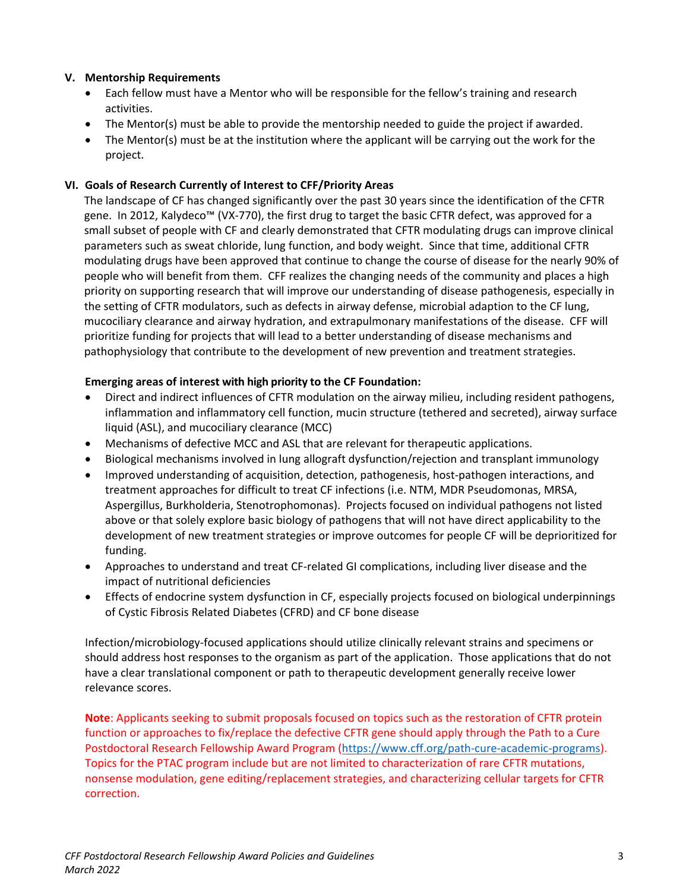# <span id="page-2-0"></span>**V. Mentorship Requirements**

- Each fellow must have a Mentor who will be responsible for the fellow's training and research activities.
- The Mentor(s) must be able to provide the mentorship needed to guide the project if awarded.
- The Mentor(s) must be at the institution where the applicant will be carrying out the work for the project.

# **VI. Goals of Research Currently of Interest to CFF/Priority Areas**

<span id="page-2-1"></span>The landscape of CF has changed significantly over the past 30 years since the identification of the CFTR gene. In 2012, Kalydeco™ (VX-770), the first drug to target the basic CFTR defect, was approved for a small subset of people with CF and clearly demonstrated that CFTR modulating drugs can improve clinical parameters such as sweat chloride, lung function, and body weight. Since that time, additional CFTR modulating drugs have been approved that continue to change the course of disease for the nearly 90% of people who will benefit from them. CFF realizes the changing needs of the community and places a high priority on supporting research that will improve our understanding of disease pathogenesis, especially in the setting of CFTR modulators, such as defects in airway defense, microbial adaption to the CF lung, mucociliary clearance and airway hydration, and extrapulmonary manifestations of the disease. CFF will prioritize funding for projects that will lead to a better understanding of disease mechanisms and pathophysiology that contribute to the development of new prevention and treatment strategies.

## **Emerging areas of interest with high priority to the CF Foundation:**

- Direct and indirect influences of CFTR modulation on the airway milieu, including resident pathogens, inflammation and inflammatory cell function, mucin structure (tethered and secreted), airway surface liquid (ASL), and mucociliary clearance (MCC)
- Mechanisms of defective MCC and ASL that are relevant for therapeutic applications.
- Biological mechanisms involved in lung allograft dysfunction/rejection and transplant immunology
- Improved understanding of acquisition, detection, pathogenesis, host-pathogen interactions, and treatment approaches for difficult to treat CF infections (i.e. NTM, MDR Pseudomonas, MRSA, Aspergillus, Burkholderia, Stenotrophomonas). Projects focused on individual pathogens not listed above or that solely explore basic biology of pathogens that will not have direct applicability to the development of new treatment strategies or improve outcomes for people CF will be deprioritized for funding.
- Approaches to understand and treat CF-related GI complications, including liver disease and the impact of nutritional deficiencies
- Effects of endocrine system dysfunction in CF, especially projects focused on biological underpinnings of Cystic Fibrosis Related Diabetes (CFRD) and CF bone disease

Infection/microbiology-focused applications should utilize clinically relevant strains and specimens or should address host responses to the organism as part of the application. Those applications that do not have a clear translational component or path to therapeutic development generally receive lower relevance scores.

**Note**: Applicants seeking to submit proposals focused on topics such as the restoration of CFTR protein function or approaches to fix/replace the defective CFTR gene should apply through the Path to a Cure Postdoctoral Research Fellowship Award Program [\(https://www.cff.org/path-cure-academic-programs\)](https://www.cff.org/path-cure-academic-programs). Topics for the PTAC program include but are not limited to characterization of rare CFTR mutations, nonsense modulation, gene editing/replacement strategies, and characterizing cellular targets for CFTR correction.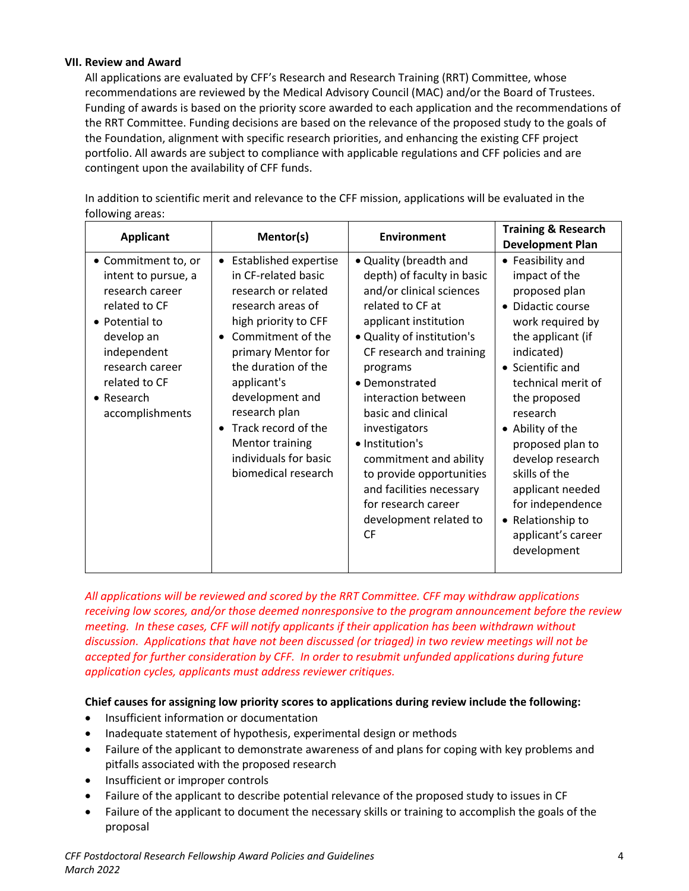## <span id="page-3-0"></span>**VII. Review and Award**

All applications are evaluated by CFF's Research and Research Training (RRT) Committee, whose recommendations are reviewed by the Medical Advisory Council (MAC) and/or the Board of Trustees. Funding of awards is based on the priority score awarded to each application and the recommendations of the RRT Committee. Funding decisions are based on the relevance of the proposed study to the goals of the Foundation, alignment with specific research priorities, and enhancing the existing CFF project portfolio. All awards are subject to compliance with applicable regulations and CFF policies and are contingent upon the availability of CFF funds.

In addition to scientific merit and relevance to the CFF mission, applications will be evaluated in the following areas:

| <b>Applicant</b>                                                                                                                                                                                           | Mentor(s)                                                                                                                                                                                                                                                                                                                                                                            | <b>Environment</b>                                                                                                                                                                                                                                                                                                                                                                                                                                     | <b>Training &amp; Research</b><br><b>Development Plan</b>                                                                                                                                                                                                                                                                                                                            |
|------------------------------------------------------------------------------------------------------------------------------------------------------------------------------------------------------------|--------------------------------------------------------------------------------------------------------------------------------------------------------------------------------------------------------------------------------------------------------------------------------------------------------------------------------------------------------------------------------------|--------------------------------------------------------------------------------------------------------------------------------------------------------------------------------------------------------------------------------------------------------------------------------------------------------------------------------------------------------------------------------------------------------------------------------------------------------|--------------------------------------------------------------------------------------------------------------------------------------------------------------------------------------------------------------------------------------------------------------------------------------------------------------------------------------------------------------------------------------|
| • Commitment to, or<br>intent to pursue, a<br>research career<br>related to CF<br>• Potential to<br>develop an<br>independent<br>research career<br>related to CF<br>$\bullet$ Research<br>accomplishments | <b>Established expertise</b><br>$\bullet$<br>in CF-related basic<br>research or related<br>research areas of<br>high priority to CFF<br>Commitment of the<br>$\bullet$<br>primary Mentor for<br>the duration of the<br>applicant's<br>development and<br>research plan<br>Track record of the<br>$\bullet$<br><b>Mentor training</b><br>individuals for basic<br>biomedical research | • Quality (breadth and<br>depth) of faculty in basic<br>and/or clinical sciences<br>related to CF at<br>applicant institution<br>• Quality of institution's<br>CF research and training<br>programs<br>• Demonstrated<br>interaction between<br>basic and clinical<br>investigators<br>• Institution's<br>commitment and ability<br>to provide opportunities<br>and facilities necessary<br>for research career<br>development related to<br><b>CF</b> | • Feasibility and<br>impact of the<br>proposed plan<br>• Didactic course<br>work required by<br>the applicant (if<br>indicated)<br>• Scientific and<br>technical merit of<br>the proposed<br>research<br>• Ability of the<br>proposed plan to<br>develop research<br>skills of the<br>applicant needed<br>for independence<br>• Relationship to<br>applicant's career<br>development |

*All applications will be reviewed and scored by the RRT Committee. CFF may withdraw applications receiving low scores, and/or those deemed nonresponsive to the program announcement before the review meeting. In these cases, CFF will notify applicants if their application has been withdrawn without discussion. Applications that have not been discussed (or triaged) in two review meetings will not be accepted for further consideration by CFF. In order to resubmit unfunded applications during future application cycles, applicants must address reviewer critiques.*

# **Chief causes for assigning low priority scores to applications during review include the following:**

- Insufficient information or documentation
- Inadequate statement of hypothesis, experimental design or methods
- Failure of the applicant to demonstrate awareness of and plans for coping with key problems and pitfalls associated with the proposed research
- Insufficient or improper controls
- Failure of the applicant to describe potential relevance of the proposed study to issues in CF
- Failure of the applicant to document the necessary skills or training to accomplish the goals of the proposal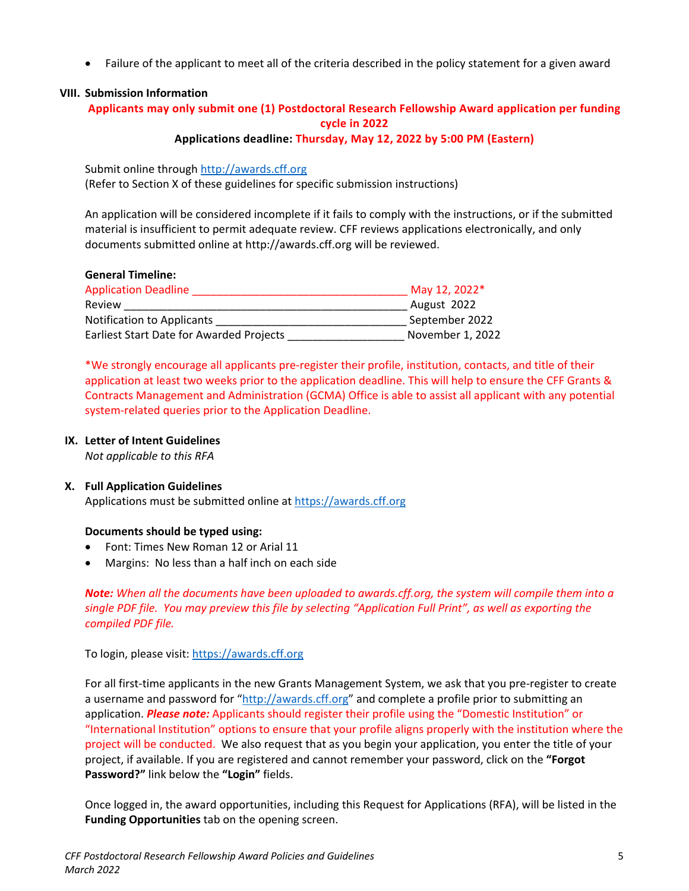• Failure of the applicant to meet all of the criteria described in the policy statement for a given award

## <span id="page-4-0"></span>**VIII. Submission Information**

## **Applicants may only submit one (1) Postdoctoral Research Fellowship Award application per funding cycle in 2022 Applications deadline: Thursday, May 12, 2022 by 5:00 PM (Eastern)**

Submit online through [http://awards.cff.org](http://awards.cff.org/) (Refer to Section X of these guidelines for specific submission instructions)

An application will be considered incomplete if it fails to comply with the instructions, or if the submitted material is insufficient to permit adequate review. CFF reviews applications electronically, and only documents submitted online at http://awards.cff.org will be reviewed.

## **General Timeline:**

| <b>Application Deadline</b>                     | May 12, 2022*    |
|-------------------------------------------------|------------------|
| Review                                          | August 2022      |
| Notification to Applicants                      | September 2022   |
| <b>Earliest Start Date for Awarded Projects</b> | November 1, 2022 |

\*We strongly encourage all applicants pre-register their profile, institution, contacts, and title of their application at least two weeks prior to the application deadline. This will help to ensure the CFF Grants & Contracts Management and Administration (GCMA) Office is able to assist all applicant with any potential system-related queries prior to the Application Deadline.

#### **IX. Letter of Intent Guidelines**

*Not applicable to this RFA*

### <span id="page-4-1"></span>**X. Full Application Guidelines**

Applications must be submitted online at [https://awards.cff.org](https://awards.cff.org/)

### **Documents should be typed using:**

- Font: Times New Roman 12 or Arial 11
- Margins: No less than a half inch on each side

*Note: When all the documents have been uploaded to awards.cff.org, the system will compile them into a single PDF file. You may preview this file by selecting "Application Full Print", as well as exporting the compiled PDF file.*

### To login, please visit: [https://awards.cff.org](https://awards.cff.org/)

For all first-time applicants in the new Grants Management System, we ask that you pre-register to create a username and password for ["http://awards.cff.org"](http://awards.cff.org/) and complete a profile prior to submitting an application. *Please note:* Applicants should register their profile using the "Domestic Institution" or "International Institution" options to ensure that your profile aligns properly with the institution where the project will be conducted. We also request that as you begin your application, you enter the title of your project, if available. If you are registered and cannot remember your password, click on the **"Forgot Password?"** link below the **"Login"** fields.

Once logged in, the award opportunities, including this Request for Applications (RFA), will be listed in the **Funding Opportunities** tab on the opening screen.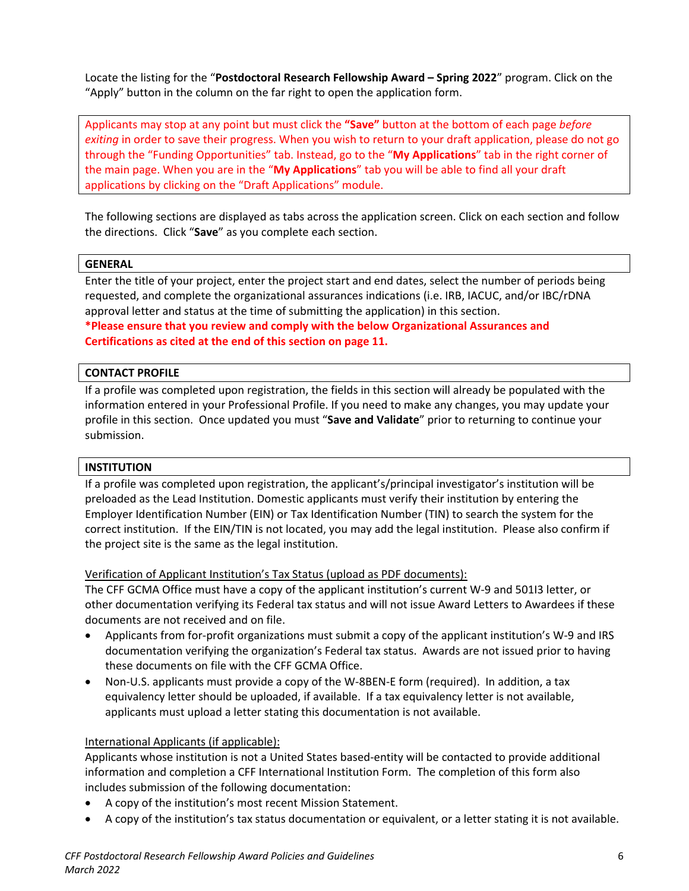Locate the listing for the "**Postdoctoral Research Fellowship Award – Spring 2022**" program. Click on the "Apply" button in the column on the far right to open the application form.

Applicants may stop at any point but must click the **"Save"** button at the bottom of each page *before exiting* in order to save their progress. When you wish to return to your draft application, please do not go through the "Funding Opportunities" tab. Instead, go to the "**My Applications**" tab in the right corner of the main page. When you are in the "**My Applications**" tab you will be able to find all your draft applications by clicking on the "Draft Applications" module.

The following sections are displayed as tabs across the application screen. Click on each section and follow the directions. Click "**Save**" as you complete each section.

#### **GENERAL**

Enter the title of your project, enter the project start and end dates, select the number of periods being requested, and complete the organizational assurances indications (i.e. IRB, IACUC, and/or IBC/rDNA approval letter and status at the time of submitting the application) in this section.

**\*Please ensure that you review and comply with the below Organizational Assurances and Certifications as cited at the end of this section on page 11.**

#### **CONTACT PROFILE**

If a profile was completed upon registration, the fields in this section will already be populated with the information entered in your Professional Profile. If you need to make any changes, you may update your profile in this section. Once updated you must "**Save and Validate**" prior to returning to continue your submission.

### **INSTITUTION**

If a profile was completed upon registration, the applicant's/principal investigator's institution will be preloaded as the Lead Institution. Domestic applicants must verify their institution by entering the Employer Identification Number (EIN) or Tax Identification Number (TIN) to search the system for the correct institution. If the EIN/TIN is not located, you may add the legal institution. Please also confirm if the project site is the same as the legal institution.

Verification of Applicant Institution's Tax Status (upload as PDF documents):

The CFF GCMA Office must have a copy of the applicant institution's current W-9 and 501I3 letter, or other documentation verifying its Federal tax status and will not issue Award Letters to Awardees if these documents are not received and on file.

- Applicants from for-profit organizations must submit a copy of the applicant institution's W-9 and IRS documentation verifying the organization's Federal tax status. Awards are not issued prior to having these documents on file with the CFF GCMA Office.
- Non-U.S. applicants must provide a copy of the W-8BEN-E form (required). In addition, a tax equivalency letter should be uploaded, if available. If a tax equivalency letter is not available, applicants must upload a letter stating this documentation is not available.

#### International Applicants (if applicable):

Applicants whose institution is not a United States based-entity will be contacted to provide additional information and completion a CFF International Institution Form. The completion of this form also includes submission of the following documentation:

- A copy of the institution's most recent Mission Statement.
- A copy of the institution's tax status documentation or equivalent, or a letter stating it is not available.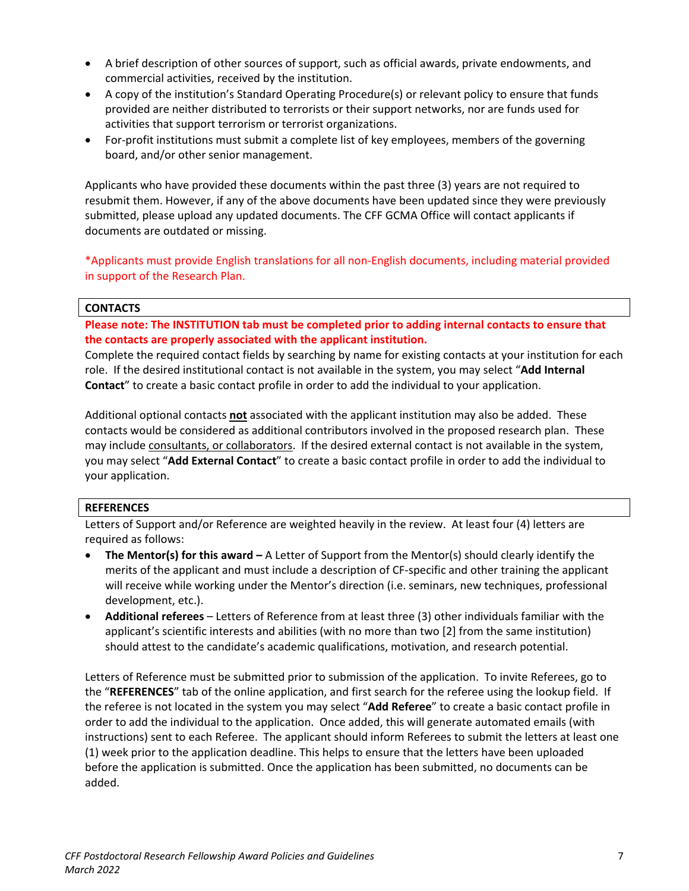- A brief description of other sources of support, such as official awards, private endowments, and commercial activities, received by the institution.
- A copy of the institution's Standard Operating Procedure(s) or relevant policy to ensure that funds provided are neither distributed to terrorists or their support networks, nor are funds used for activities that support terrorism or terrorist organizations.
- For-profit institutions must submit a complete list of key employees, members of the governing board, and/or other senior management.

Applicants who have provided these documents within the past three (3) years are not required to resubmit them. However, if any of the above documents have been updated since they were previously submitted, please upload any updated documents. The CFF GCMA Office will contact applicants if documents are outdated or missing.

\*Applicants must provide English translations for all non-English documents, including material provided in support of the Research Plan.

## **CONTACTS**

**Please note: The INSTITUTION tab must be completed prior to adding internal contacts to ensure that the contacts are properly associated with the applicant institution.**

Complete the required contact fields by searching by name for existing contacts at your institution for each role. If the desired institutional contact is not available in the system, you may select "**Add Internal Contact**" to create a basic contact profile in order to add the individual to your application.

Additional optional contacts **not** associated with the applicant institution may also be added. These contacts would be considered as additional contributors involved in the proposed research plan. These may include consultants, or collaborators. If the desired external contact is not available in the system, you may select "**Add External Contact**" to create a basic contact profile in order to add the individual to your application.

### **REFERENCES**

Letters of Support and/or Reference are weighted heavily in the review. At least four (4) letters are required as follows:

- **The Mentor(s) for this award –** A Letter of Support from the Mentor(s) should clearly identify the merits of the applicant and must include a description of CF-specific and other training the applicant will receive while working under the Mentor's direction (i.e. seminars, new techniques, professional development, etc.).
- **Additional referees** Letters of Reference from at least three (3) other individuals familiar with the applicant's scientific interests and abilities (with no more than two [2] from the same institution) should attest to the candidate's academic qualifications, motivation, and research potential.

Letters of Reference must be submitted prior to submission of the application. To invite Referees, go to the "**REFERENCES**" tab of the online application, and first search for the referee using the lookup field. If the referee is not located in the system you may select "**Add Referee**" to create a basic contact profile in order to add the individual to the application. Once added, this will generate automated emails (with instructions) sent to each Referee. The applicant should inform Referees to submit the letters at least one (1) week prior to the application deadline. This helps to ensure that the letters have been uploaded before the application is submitted. Once the application has been submitted, no documents can be added.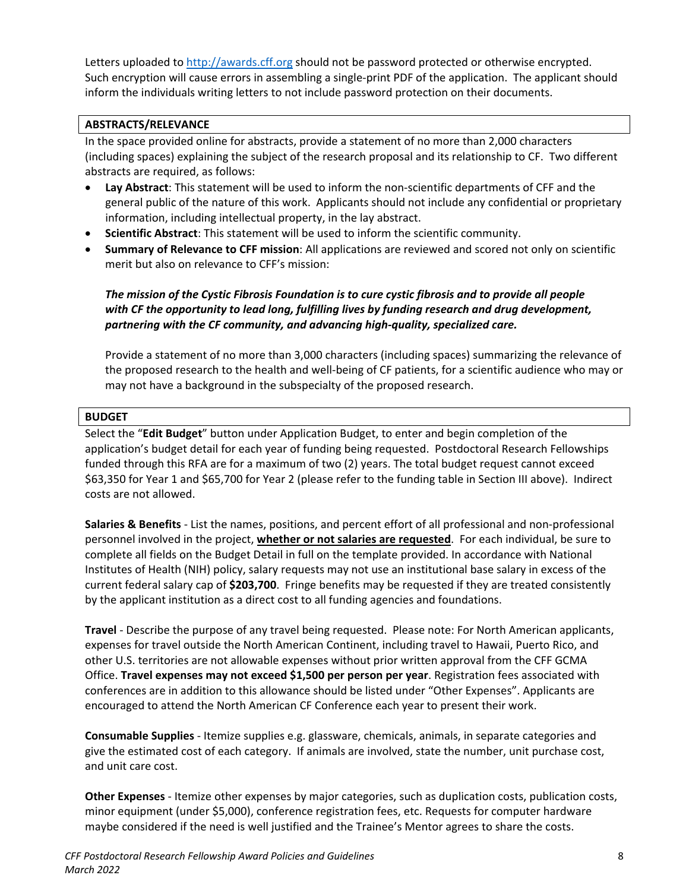Letters uploaded to [http://awards.cff.org](http://awards.cff.org/) should not be password protected or otherwise encrypted. Such encryption will cause errors in assembling a single-print PDF of the application. The applicant should inform the individuals writing letters to not include password protection on their documents.

## **ABSTRACTS/RELEVANCE**

In the space provided online for abstracts, provide a statement of no more than 2,000 characters (including spaces) explaining the subject of the research proposal and its relationship to CF. Two different abstracts are required, as follows:

- **Lay Abstract**: This statement will be used to inform the non-scientific departments of CFF and the general public of the nature of this work. Applicants should not include any confidential or proprietary information, including intellectual property, in the lay abstract.
- **Scientific Abstract**: This statement will be used to inform the scientific community.
- **Summary of Relevance to CFF mission**: All applications are reviewed and scored not only on scientific merit but also on relevance to CFF's mission:

# *The mission of the Cystic Fibrosis Foundation is to cure cystic fibrosis and to provide all people with CF the opportunity to lead long, fulfilling lives by funding research and drug development, partnering with the CF community, and advancing high-quality, specialized care.*

Provide a statement of no more than 3,000 characters (including spaces) summarizing the relevance of the proposed research to the health and well-being of CF patients, for a scientific audience who may or may not have a background in the subspecialty of the proposed research.

# **BUDGET**

Select the "**Edit Budget**" button under Application Budget, to enter and begin completion of the application's budget detail for each year of funding being requested. Postdoctoral Research Fellowships funded through this RFA are for a maximum of two (2) years. The total budget request cannot exceed \$63,350 for Year 1 and \$65,700 for Year 2 (please refer to the funding table in Section III above). Indirect costs are not allowed.

**Salaries & Benefits** - List the names, positions, and percent effort of all professional and non-professional personnel involved in the project, **whether or not salaries are requested**. For each individual, be sure to complete all fields on the Budget Detail in full on the template provided. In accordance with National Institutes of Health (NIH) policy, salary requests may not use an institutional base salary in excess of the current federal salary cap of **\$203,700**. Fringe benefits may be requested if they are treated consistently by the applicant institution as a direct cost to all funding agencies and foundations.

**Travel** - Describe the purpose of any travel being requested. Please note: For North American applicants, expenses for travel outside the North American Continent, including travel to Hawaii, Puerto Rico, and other U.S. territories are not allowable expenses without prior written approval from the CFF GCMA Office. **Travel expenses may not exceed \$1,500 per person per year**. Registration fees associated with conferences are in addition to this allowance should be listed under "Other Expenses". Applicants are encouraged to attend the North American CF Conference each year to present their work.

**Consumable Supplies** - Itemize supplies e.g. glassware, chemicals, animals, in separate categories and give the estimated cost of each category. If animals are involved, state the number, unit purchase cost, and unit care cost.

**Other Expenses** - Itemize other expenses by major categories, such as duplication costs, publication costs, minor equipment (under \$5,000), conference registration fees, etc. Requests for computer hardware maybe considered if the need is well justified and the Trainee's Mentor agrees to share the costs.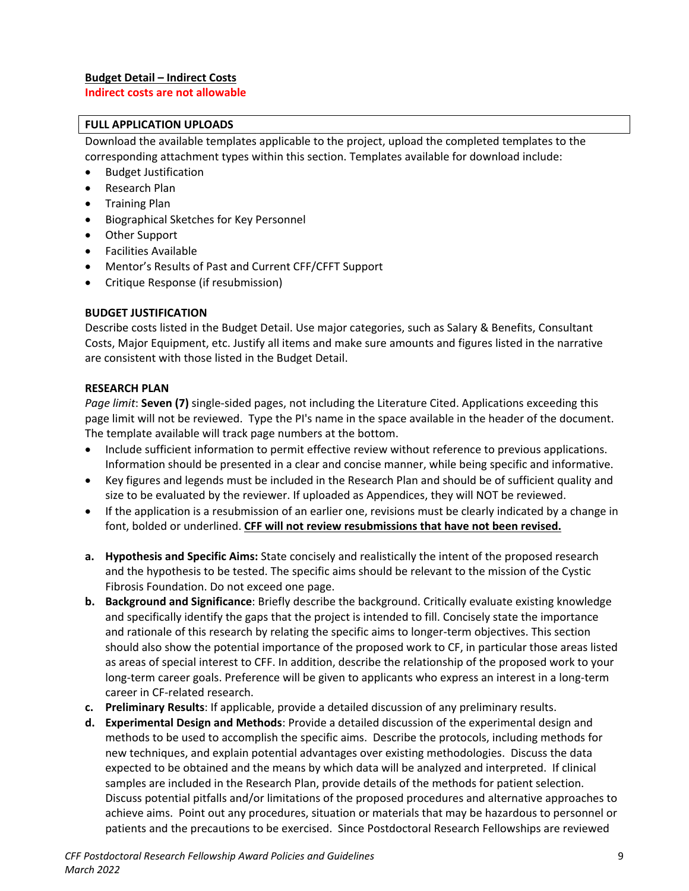## **FULL APPLICATION UPLOADS**

Download the available templates applicable to the project, upload the completed templates to the corresponding attachment types within this section. Templates available for download include:

- Budget Justification
- Research Plan
- Training Plan
- Biographical Sketches for Key Personnel
- Other Support
- Facilities Available
- Mentor's Results of Past and Current CFF/CFFT Support
- Critique Response (if resubmission)

## **BUDGET JUSTIFICATION**

Describe costs listed in the Budget Detail. Use major categories, such as Salary & Benefits, Consultant Costs, Major Equipment, etc. Justify all items and make sure amounts and figures listed in the narrative are consistent with those listed in the Budget Detail.

## **RESEARCH PLAN**

*Page limit*: **Seven (7)** single-sided pages, not including the Literature Cited. Applications exceeding this page limit will not be reviewed. Type the PI's name in the space available in the header of the document. The template available will track page numbers at the bottom.

- Include sufficient information to permit effective review without reference to previous applications. Information should be presented in a clear and concise manner, while being specific and informative.
- Key figures and legends must be included in the Research Plan and should be of sufficient quality and size to be evaluated by the reviewer. If uploaded as Appendices, they will NOT be reviewed.
- If the application is a resubmission of an earlier one, revisions must be clearly indicated by a change in font, bolded or underlined. **CFF will not review resubmissions that have not been revised.**
- **a. Hypothesis and Specific Aims:** State concisely and realistically the intent of the proposed research and the hypothesis to be tested. The specific aims should be relevant to the mission of the Cystic Fibrosis Foundation. Do not exceed one page.
- **b. Background and Significance**: Briefly describe the background. Critically evaluate existing knowledge and specifically identify the gaps that the project is intended to fill. Concisely state the importance and rationale of this research by relating the specific aims to longer-term objectives. This section should also show the potential importance of the proposed work to CF, in particular those areas listed as areas of special interest to CFF. In addition, describe the relationship of the proposed work to your long-term career goals. Preference will be given to applicants who express an interest in a long-term career in CF-related research.
- **c. Preliminary Results**: If applicable, provide a detailed discussion of any preliminary results.
- **d. Experimental Design and Methods**: Provide a detailed discussion of the experimental design and methods to be used to accomplish the specific aims. Describe the protocols, including methods for new techniques, and explain potential advantages over existing methodologies. Discuss the data expected to be obtained and the means by which data will be analyzed and interpreted. If clinical samples are included in the Research Plan, provide details of the methods for patient selection. Discuss potential pitfalls and/or limitations of the proposed procedures and alternative approaches to achieve aims. Point out any procedures, situation or materials that may be hazardous to personnel or patients and the precautions to be exercised. Since Postdoctoral Research Fellowships are reviewed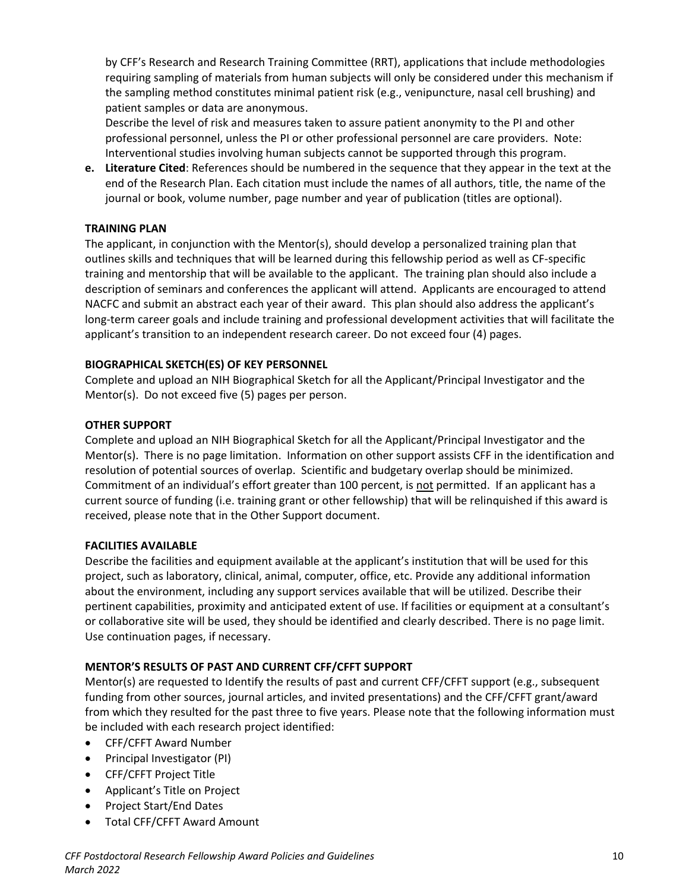by CFF's Research and Research Training Committee (RRT), applications that include methodologies requiring sampling of materials from human subjects will only be considered under this mechanism if the sampling method constitutes minimal patient risk (e.g., venipuncture, nasal cell brushing) and patient samples or data are anonymous.

Describe the level of risk and measures taken to assure patient anonymity to the PI and other professional personnel, unless the PI or other professional personnel are care providers. Note: Interventional studies involving human subjects cannot be supported through this program.

**e. Literature Cited**: References should be numbered in the sequence that they appear in the text at the end of the Research Plan. Each citation must include the names of all authors, title, the name of the journal or book, volume number, page number and year of publication (titles are optional).

## **TRAINING PLAN**

The applicant, in conjunction with the Mentor(s), should develop a personalized training plan that outlines skills and techniques that will be learned during this fellowship period as well as CF-specific training and mentorship that will be available to the applicant. The training plan should also include a description of seminars and conferences the applicant will attend. Applicants are encouraged to attend NACFC and submit an abstract each year of their award. This plan should also address the applicant's long-term career goals and include training and professional development activities that will facilitate the applicant's transition to an independent research career. Do not exceed four (4) pages.

## **BIOGRAPHICAL SKETCH(ES) OF KEY PERSONNEL**

Complete and upload an NIH Biographical Sketch for all the Applicant/Principal Investigator and the Mentor(s). Do not exceed five (5) pages per person.

## **OTHER SUPPORT**

Complete and upload an NIH Biographical Sketch for all the Applicant/Principal Investigator and the Mentor(s). There is no page limitation. Information on other support assists CFF in the identification and resolution of potential sources of overlap. Scientific and budgetary overlap should be minimized. Commitment of an individual's effort greater than 100 percent, is not permitted. If an applicant has a current source of funding (i.e. training grant or other fellowship) that will be relinquished if this award is received, please note that in the Other Support document.

### **FACILITIES AVAILABLE**

Describe the facilities and equipment available at the applicant's institution that will be used for this project, such as laboratory, clinical, animal, computer, office, etc. Provide any additional information about the environment, including any support services available that will be utilized. Describe their pertinent capabilities, proximity and anticipated extent of use. If facilities or equipment at a consultant's or collaborative site will be used, they should be identified and clearly described. There is no page limit. Use continuation pages, if necessary.

# **MENTOR'S RESULTS OF PAST AND CURRENT CFF/CFFT SUPPORT**

Mentor(s) are requested to Identify the results of past and current CFF/CFFT support (e.g., subsequent funding from other sources, journal articles, and invited presentations) and the CFF/CFFT grant/award from which they resulted for the past three to five years. Please note that the following information must be included with each research project identified:

- CFF/CFFT Award Number
- Principal Investigator (PI)
- CFF/CFFT Project Title
- Applicant's Title on Project
- Project Start/End Dates
- Total CFF/CFFT Award Amount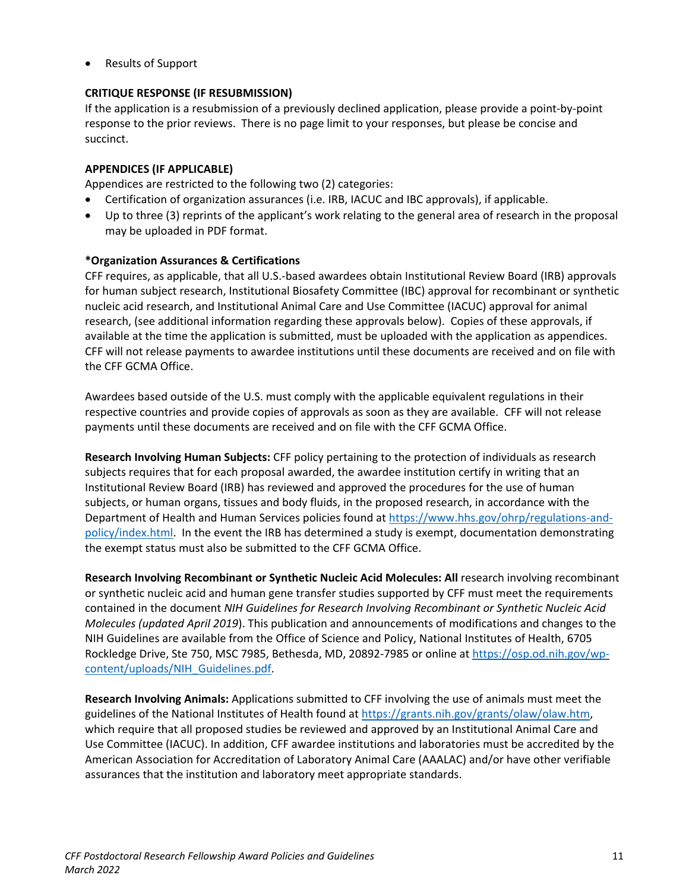• Results of Support

# **CRITIQUE RESPONSE (IF RESUBMISSION)**

If the application is a resubmission of a previously declined application, please provide a point-by-point response to the prior reviews. There is no page limit to your responses, but please be concise and succinct.

## **APPENDICES (IF APPLICABLE)**

Appendices are restricted to the following two (2) categories:

- Certification of organization assurances (i.e. IRB, IACUC and IBC approvals), if applicable.
- Up to three (3) reprints of the applicant's work relating to the general area of research in the proposal may be uploaded in PDF format.

## **\*Organization Assurances & Certifications**

CFF requires, as applicable, that all U.S.-based awardees obtain Institutional Review Board (IRB) approvals for human subject research, Institutional Biosafety Committee (IBC) approval for recombinant or synthetic nucleic acid research, and Institutional Animal Care and Use Committee (IACUC) approval for animal research, (see additional information regarding these approvals below). Copies of these approvals, if available at the time the application is submitted, must be uploaded with the application as appendices. CFF will not release payments to awardee institutions until these documents are received and on file with the CFF GCMA Office.

Awardees based outside of the U.S. must comply with the applicable equivalent regulations in their respective countries and provide copies of approvals as soon as they are available. CFF will not release payments until these documents are received and on file with the CFF GCMA Office.

**Research Involving Human Subjects:** CFF policy pertaining to the protection of individuals as research subjects requires that for each proposal awarded, the awardee institution certify in writing that an Institutional Review Board (IRB) has reviewed and approved the procedures for the use of human subjects, or human organs, tissues and body fluids, in the proposed research, in accordance with the Department of Health and Human Services policies found at [https://www.hhs.gov/ohrp/regulations-and](https://www.hhs.gov/ohrp/regulations-and-policy/index.html)[policy/index.html.](https://www.hhs.gov/ohrp/regulations-and-policy/index.html) In the event the IRB has determined a study is exempt, documentation demonstrating the exempt status must also be submitted to the CFF GCMA Office.

**Research Involving Recombinant or Synthetic Nucleic Acid Molecules: All** research involving recombinant or synthetic nucleic acid and human gene transfer studies supported by CFF must meet the requirements contained in the document *NIH Guidelines for Research Involving Recombinant or Synthetic Nucleic Acid Molecules (updated April 2019*). This publication and announcements of modifications and changes to the NIH Guidelines are available from the Office of Science and Policy, National Institutes of Health, 6705 Rockledge Drive, Ste 750, MSC 7985, Bethesda, MD, 20892-7985 or online at [https://osp.od.nih.gov/wp](https://osp.od.nih.gov/wp-content/uploads/NIH_Guidelines.pdf)[content/uploads/NIH\\_Guidelines.pdf.](https://osp.od.nih.gov/wp-content/uploads/NIH_Guidelines.pdf)

**Research Involving Animals:** Applications submitted to CFF involving the use of animals must meet the guidelines of the National Institutes of Health found a[t https://grants.nih.gov/grants/olaw/olaw.htm,](https://grants.nih.gov/grants/olaw/olaw.htm) which require that all proposed studies be reviewed and approved by an Institutional Animal Care and Use Committee (IACUC). In addition, CFF awardee institutions and laboratories must be accredited by the American Association for Accreditation of Laboratory Animal Care (AAALAC) and/or have other verifiable assurances that the institution and laboratory meet appropriate standards.